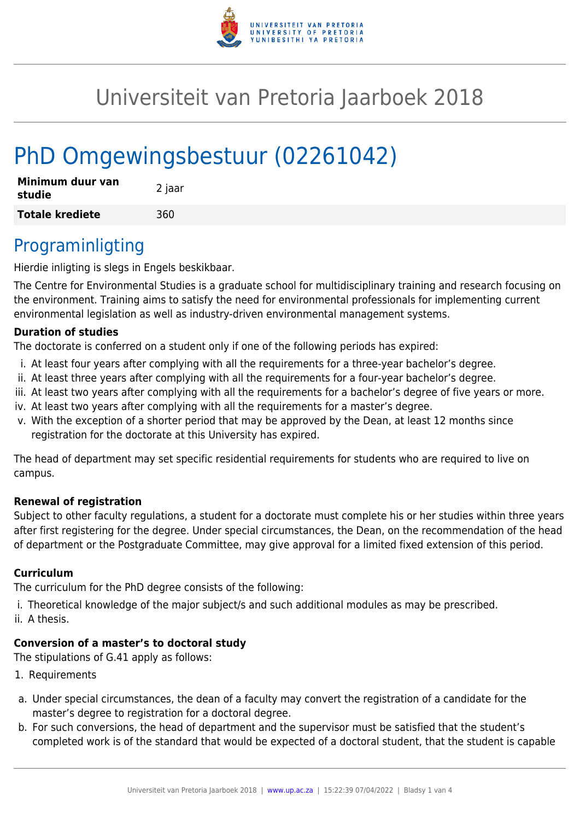

# Universiteit van Pretoria Jaarboek 2018

# PhD Omgewingsbestuur (02261042)

| Minimum duur van<br>studie | 2 jaar |
|----------------------------|--------|
| <b>Totale krediete</b>     | 360    |

## Programinligting

Hierdie inligting is slegs in Engels beskikbaar.

The Centre for Environmental Studies is a graduate school for multidisciplinary training and research focusing on the environment. Training aims to satisfy the need for environmental professionals for implementing current environmental legislation as well as industry-driven environmental management systems.

#### **Duration of studies**

The doctorate is conferred on a student only if one of the following periods has expired:

- i. At least four years after complying with all the requirements for a three-year bachelor's degree.
- ii. At least three years after complying with all the requirements for a four-year bachelor's degree.
- iii. At least two years after complying with all the requirements for a bachelor's degree of five years or more.
- iv. At least two years after complying with all the requirements for a master's degree.
- v. With the exception of a shorter period that may be approved by the Dean, at least 12 months since registration for the doctorate at this University has expired.

The head of department may set specific residential requirements for students who are required to live on campus.

#### **Renewal of registration**

Subject to other faculty regulations, a student for a doctorate must complete his or her studies within three years after first registering for the degree. Under special circumstances, the Dean, on the recommendation of the head of department or the Postgraduate Committee, may give approval for a limited fixed extension of this period.

#### **Curriculum**

The curriculum for the PhD degree consists of the following:

i. Theoretical knowledge of the major subject/s and such additional modules as may be prescribed.

ii. A thesis.

### **Conversion of a master's to doctoral study**

The stipulations of G.41 apply as follows:

- 1. Requirements
- a. Under special circumstances, the dean of a faculty may convert the registration of a candidate for the master's degree to registration for a doctoral degree.
- b. For such conversions, the head of department and the supervisor must be satisfied that the student's completed work is of the standard that would be expected of a doctoral student, that the student is capable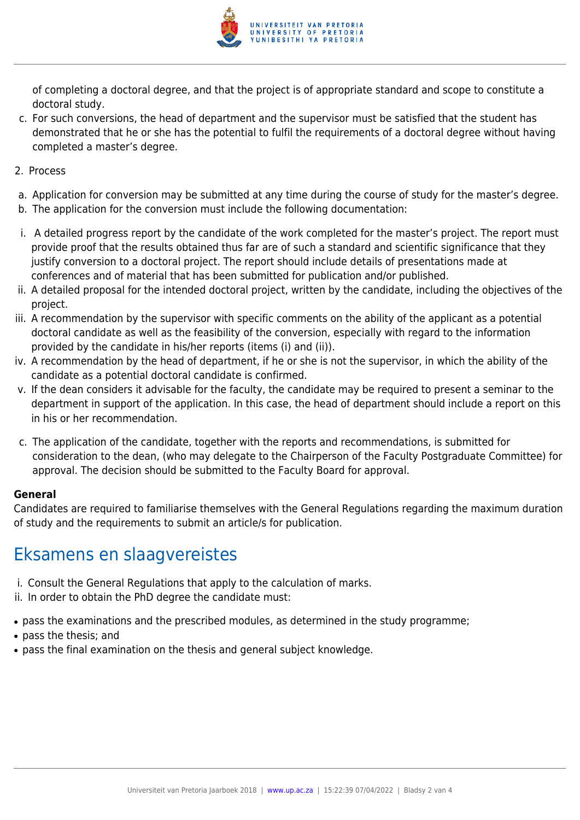

of completing a doctoral degree, and that the project is of appropriate standard and scope to constitute a doctoral study.

- c. For such conversions, the head of department and the supervisor must be satisfied that the student has demonstrated that he or she has the potential to fulfil the requirements of a doctoral degree without having completed a master's degree.
- 2. Process
- a. Application for conversion may be submitted at any time during the course of study for the master's degree.
- b. The application for the conversion must include the following documentation:
- i. A detailed progress report by the candidate of the work completed for the master's project. The report must provide proof that the results obtained thus far are of such a standard and scientific significance that they justify conversion to a doctoral project. The report should include details of presentations made at conferences and of material that has been submitted for publication and/or published.
- ii. A detailed proposal for the intended doctoral project, written by the candidate, including the objectives of the project.
- iii. A recommendation by the supervisor with specific comments on the ability of the applicant as a potential doctoral candidate as well as the feasibility of the conversion, especially with regard to the information provided by the candidate in his/her reports (items (i) and (ii)).
- iv. A recommendation by the head of department, if he or she is not the supervisor, in which the ability of the candidate as a potential doctoral candidate is confirmed.
- v. If the dean considers it advisable for the faculty, the candidate may be required to present a seminar to the department in support of the application. In this case, the head of department should include a report on this in his or her recommendation.
- c. The application of the candidate, together with the reports and recommendations, is submitted for consideration to the dean, (who may delegate to the Chairperson of the Faculty Postgraduate Committee) for approval. The decision should be submitted to the Faculty Board for approval.

#### **General**

Candidates are required to familiarise themselves with the General Regulations regarding the maximum duration of study and the requirements to submit an article/s for publication.

## Eksamens en slaagvereistes

- i. Consult the General Regulations that apply to the calculation of marks.
- ii. In order to obtain the PhD degree the candidate must:
- pass the examinations and the prescribed modules, as determined in the study programme;
- pass the thesis; and
- pass the final examination on the thesis and general subject knowledge.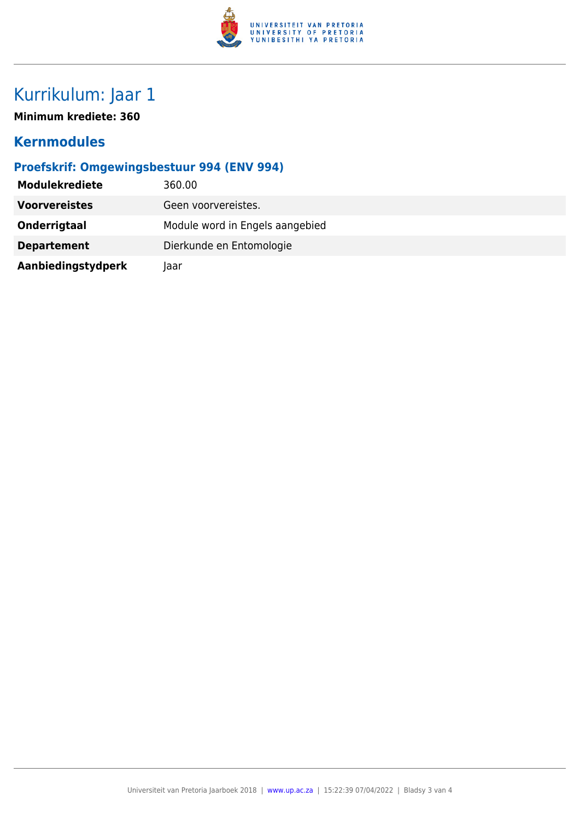

# Kurrikulum: Jaar 1

**Minimum krediete: 360**

### **Kernmodules**

### **Proefskrif: Omgewingsbestuur 994 (ENV 994)**

| <b>Modulekrediete</b> | 360.00                          |
|-----------------------|---------------------------------|
| <b>Voorvereistes</b>  | Geen voorvereistes.             |
| Onderrigtaal          | Module word in Engels aangebied |
| <b>Departement</b>    | Dierkunde en Entomologie        |
| Aanbiedingstydperk    | laar                            |